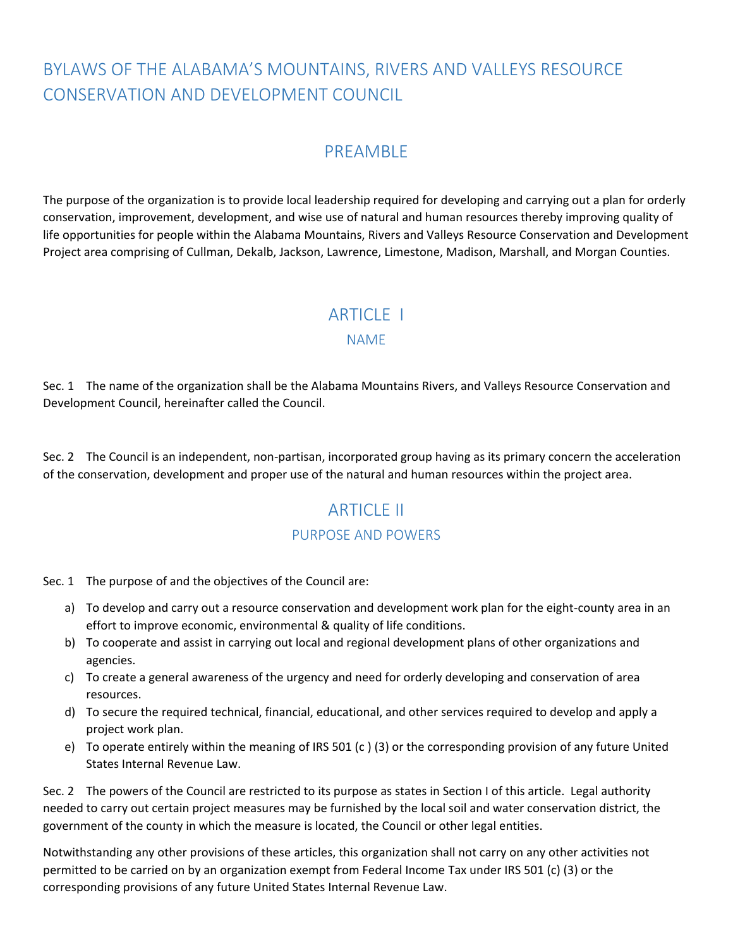# BYLAWS OF THE ALABAMA'S MOUNTAINS, RIVERS AND VALLEYS RESOURCE CONSERVATION AND DEVELOPMENT COUNCIL

## PREAMBLE

The purpose of the organization is to provide local leadership required for developing and carrying out a plan for orderly conservation, improvement, development, and wise use of natural and human resources thereby improving quality of life opportunities for people within the Alabama Mountains, Rivers and Valleys Resource Conservation and Development Project area comprising of Cullman, Dekalb, Jackson, Lawrence, Limestone, Madison, Marshall, and Morgan Counties.

## ARTICLE 1

#### NAME

Sec. 1 The name of the organization shall be the Alabama Mountains Rivers, and Valleys Resource Conservation and Development Council, hereinafter called the Council.

Sec. 2 The Council is an independent, non-partisan, incorporated group having as its primary concern the acceleration of the conservation, development and proper use of the natural and human resources within the project area.

## ARTICLE II

#### PURPOSE AND POWERS

Sec. 1 The purpose of and the objectives of the Council are:

- a) To develop and carry out a resource conservation and development work plan for the eight-county area in an effort to improve economic, environmental & quality of life conditions.
- b) To cooperate and assist in carrying out local and regional development plans of other organizations and agencies.
- c) To create a general awareness of the urgency and need for orderly developing and conservation of area resources.
- d) To secure the required technical, financial, educational, and other services required to develop and apply a project work plan.
- e) To operate entirely within the meaning of IRS 501 (c ) (3) or the corresponding provision of any future United States Internal Revenue Law.

Sec. 2 The powers of the Council are restricted to its purpose as states in Section I of this article. Legal authority needed to carry out certain project measures may be furnished by the local soil and water conservation district, the government of the county in which the measure is located, the Council or other legal entities.

Notwithstanding any other provisions of these articles, this organization shall not carry on any other activities not permitted to be carried on by an organization exempt from Federal Income Tax under IRS 501 (c) (3) or the corresponding provisions of any future United States Internal Revenue Law.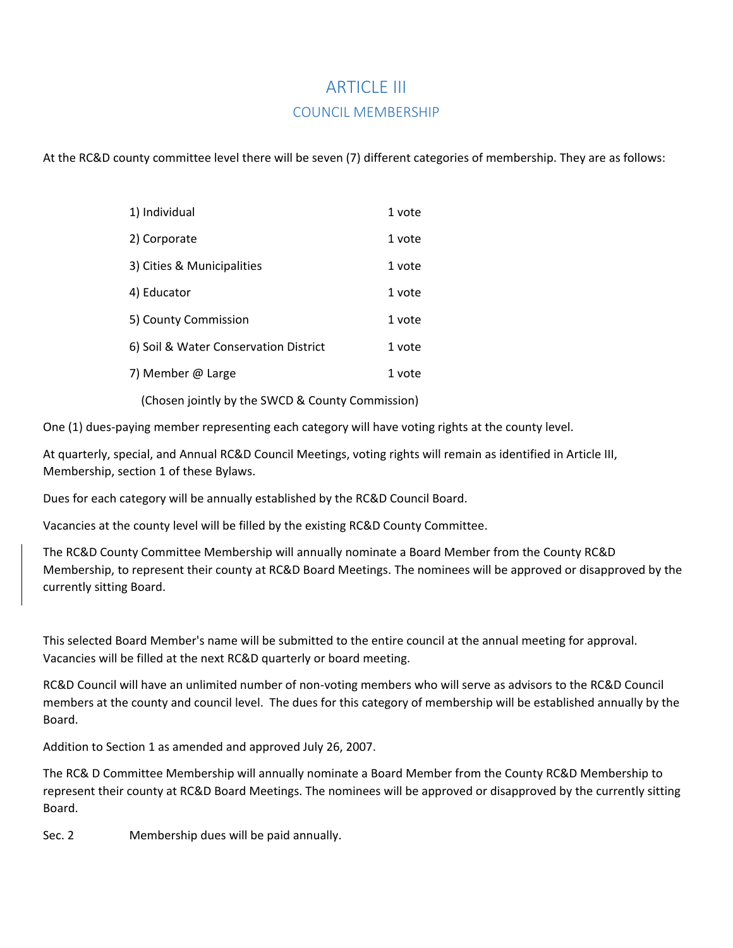# ARTICLE III COUNCIL MEMBERSHIP

At the RC&D county committee level there will be seven (7) different categories of membership. They are as follows:

| 1) Individual                         | 1 vote |
|---------------------------------------|--------|
| 2) Corporate                          | 1 vote |
| 3) Cities & Municipalities            | 1 vote |
| 4) Educator                           | 1 vote |
| 5) County Commission                  | 1 vote |
| 6) Soil & Water Conservation District | 1 vote |
| 7) Member @ Large                     | 1 vote |
|                                       |        |

(Chosen jointly by the SWCD & County Commission)

One (1) dues-paying member representing each category will have voting rights at the county level.

At quarterly, special, and Annual RC&D Council Meetings, voting rights will remain as identified in Article III, Membership, section 1 of these Bylaws.

Dues for each category will be annually established by the RC&D Council Board.

Vacancies at the county level will be filled by the existing RC&D County Committee.

The RC&D County Committee Membership will annually nominate a Board Member from the County RC&D Membership, to represent their county at RC&D Board Meetings. The nominees will be approved or disapproved by the currently sitting Board.

This selected Board Member's name will be submitted to the entire council at the annual meeting for approval. Vacancies will be filled at the next RC&D quarterly or board meeting.

RC&D Council will have an unlimited number of non-voting members who will serve as advisors to the RC&D Council members at the county and council level. The dues for this category of membership will be established annually by the Board.

Addition to Section 1 as amended and approved July 26, 2007.

The RC& D Committee Membership will annually nominate a Board Member from the County RC&D Membership to represent their county at RC&D Board Meetings. The nominees will be approved or disapproved by the currently sitting Board.

Sec. 2 Membership dues will be paid annually.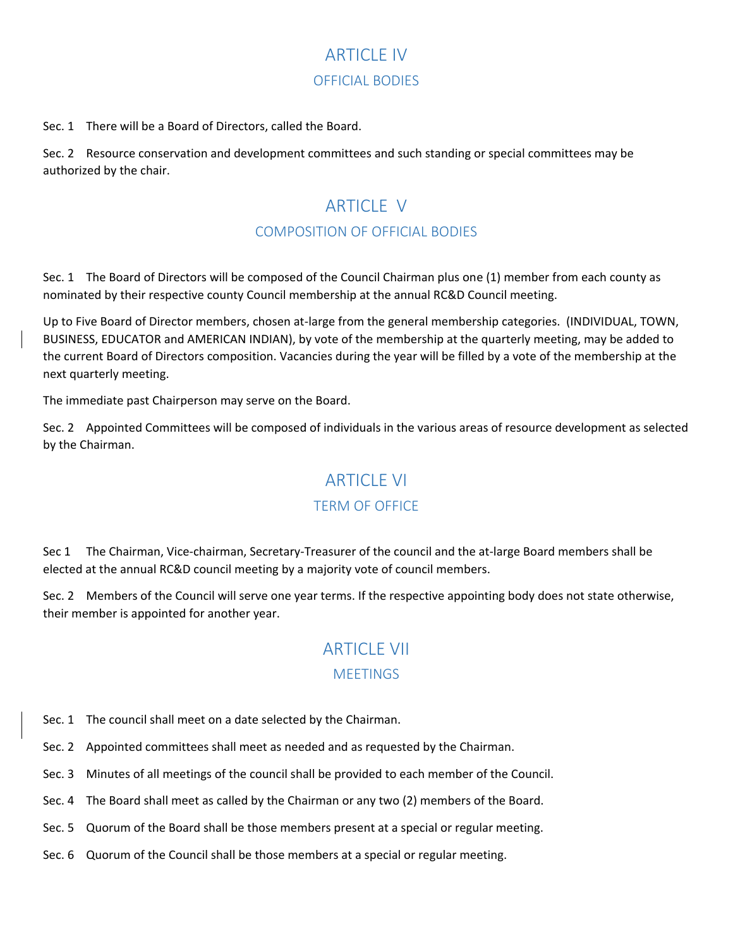# **ARTICLE IV** OFFICIAL BODIES

Sec. 1 There will be a Board of Directors, called the Board.

Sec. 2 Resource conservation and development committees and such standing or special committees may be authorized by the chair.

# **ARTICLE V** COMPOSITION OF OFFICIAL BODIES

Sec. 1 The Board of Directors will be composed of the Council Chairman plus one (1) member from each county as nominated by their respective county Council membership at the annual RC&D Council meeting.

Up to Five Board of Director members, chosen at-large from the general membership categories. (INDIVIDUAL, TOWN, BUSINESS, EDUCATOR and AMERICAN INDIAN), by vote of the membership at the quarterly meeting, may be added to the current Board of Directors composition. Vacancies during the year will be filled by a vote of the membership at the next quarterly meeting.

The immediate past Chairperson may serve on the Board.

Sec. 2 Appointed Committees will be composed of individuals in the various areas of resource development as selected by the Chairman.

### **ARTICLE VI**

#### TERM OF OFFICE

Sec 1 The Chairman, Vice-chairman, Secretary-Treasurer of the council and the at-large Board members shall be elected at the annual RC&D council meeting by a majority vote of council members.

Sec. 2 Members of the Council will serve one year terms. If the respective appointing body does not state otherwise, their member is appointed for another year.

# **ARTICLE VII MEETINGS**

- Sec. 1 The council shall meet on a date selected by the Chairman.
- Sec. 2 Appointed committees shall meet as needed and as requested by the Chairman.
- Sec. 3 Minutes of all meetings of the council shall be provided to each member of the Council.
- Sec. 4 The Board shall meet as called by the Chairman or any two (2) members of the Board.
- Sec. 5 Quorum of the Board shall be those members present at a special or regular meeting.
- Sec. 6 Quorum of the Council shall be those members at a special or regular meeting.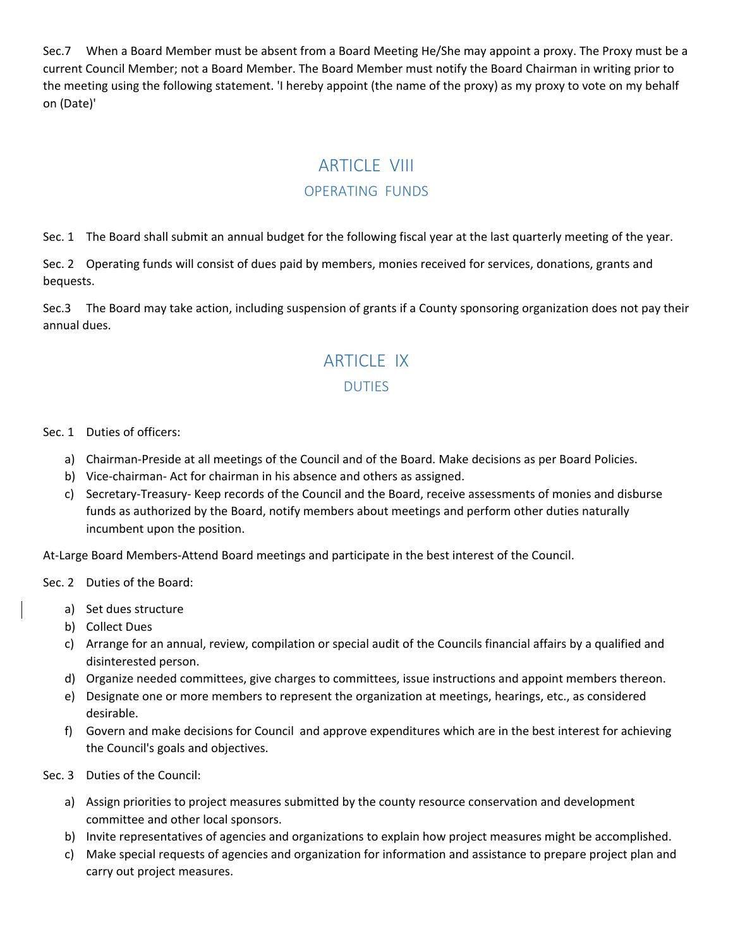Sec.7 When a Board Member must be absent from a Board Meeting He/She may appoint a proxy. The Proxy must be a current Council Member; not a Board Member. The Board Member must notify the Board Chairman in writing prior to the meeting using the following statement. 'I hereby appoint (the name of the proxy) as my proxy to vote on my behalf on (Date)'

## **ARTICLE VIII**

#### OPERATING FUNDS

Sec. 1 The Board shall submit an annual budget for the following fiscal year at the last quarterly meeting of the year.

Sec. 2 Operating funds will consist of dues paid by members, monies received for services, donations, grants and bequests.

Sec.3 The Board may take action, including suspension of grants if a County sponsoring organization does not pay their annual dues.

# ARTICLE IX DUTIES

#### Sec. 1 Duties of officers:

- a) Chairman-Preside at all meetings of the Council and of the Board. Make decisions as per Board Policies.
- b) Vice-chairman- Act for chairman in his absence and others as assigned.
- c) Secretary-Treasury- Keep records of the Council and the Board, receive assessments of monies and disburse funds as authorized by the Board, notify members about meetings and perform other duties naturally incumbent upon the position.

At-Large Board Members-Attend Board meetings and participate in the best interest of the Council.

Sec. 2 Duties of the Board:

- a) Set dues structure
- b) Collect Dues
- c) Arrange for an annual, review, compilation or special audit of the Councils financial affairs by a qualified and disinterested person.
- d) Organize needed committees, give charges to committees, issue instructions and appoint members thereon.
- e) Designate one or more members to represent the organization at meetings, hearings, etc., as considered desirable.
- f) Govern and make decisions for Council and approve expenditures which are in the best interest for achieving the Council's goals and objectives.

Sec. 3 Duties of the Council:

- a) Assign priorities to project measures submitted by the county resource conservation and development committee and other local sponsors.
- b) Invite representatives of agencies and organizations to explain how project measures might be accomplished.
- c) Make special requests of agencies and organization for information and assistance to prepare project plan and carry out project measures.